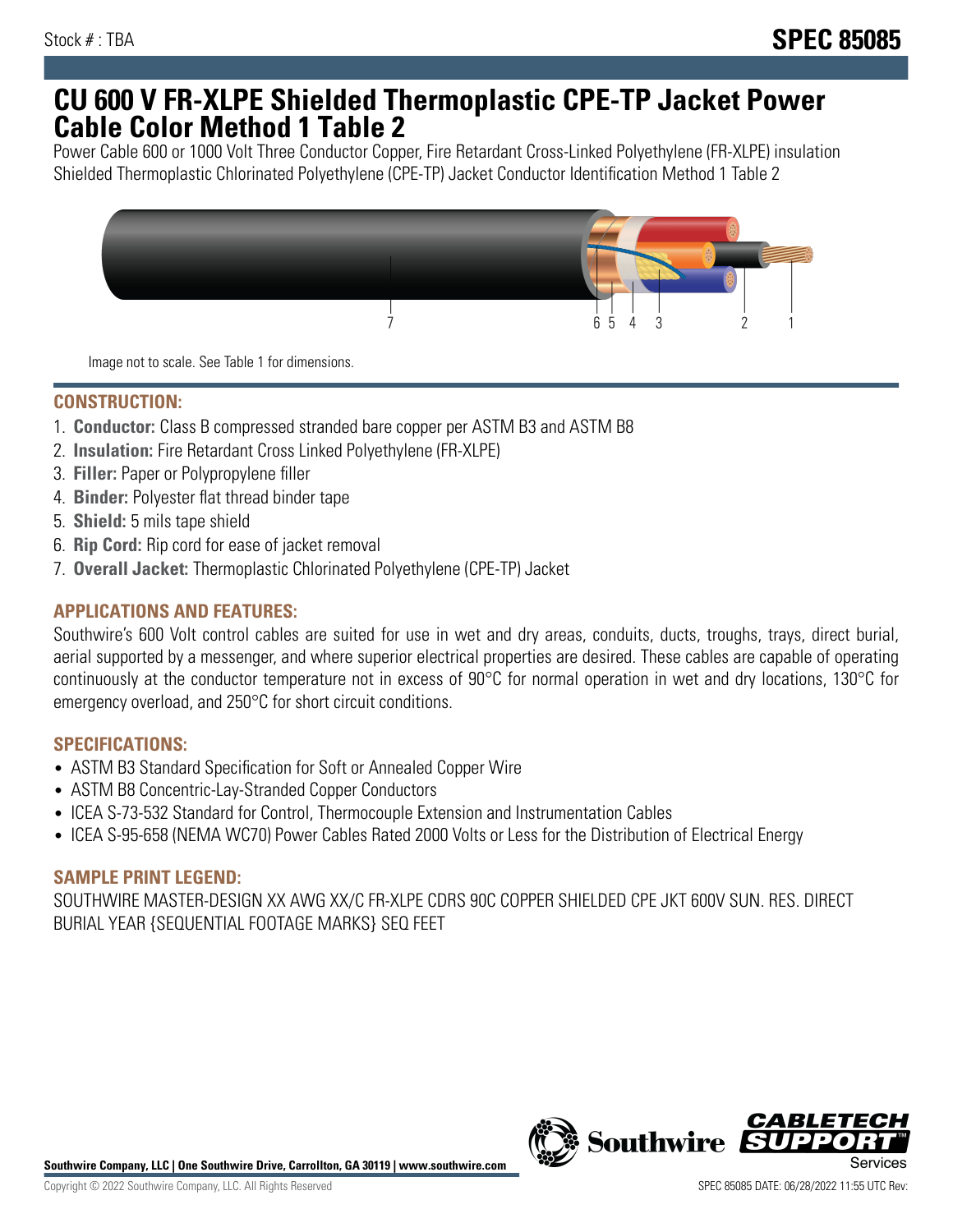## **CU 600 V FR-XLPE Shielded Thermoplastic CPE-TP Jacket Power Cable Color Method 1 Table 2**

Power Cable 600 or 1000 Volt Three Conductor Copper, Fire Retardant Cross-Linked Polyethylene (FR-XLPE) insulation Shielded Thermoplastic Chlorinated Polyethylene (CPE-TP) Jacket Conductor Identification Method 1 Table 2



Image not to scale. See Table 1 for dimensions.

## **CONSTRUCTION:**

- 1. **Conductor:** Class B compressed stranded bare copper per ASTM B3 and ASTM B8
- 2. **Insulation:** Fire Retardant Cross Linked Polyethylene (FR-XLPE)
- 3. **Filler:** Paper or Polypropylene filler
- 4. **Binder:** Polyester flat thread binder tape
- 5. **Shield:** 5 mils tape shield
- 6. **Rip Cord:** Rip cord for ease of jacket removal
- 7. **Overall Jacket:** Thermoplastic Chlorinated Polyethylene (CPE-TP) Jacket

### **APPLICATIONS AND FEATURES:**

Southwire's 600 Volt control cables are suited for use in wet and dry areas, conduits, ducts, troughs, trays, direct burial, aerial supported by a messenger, and where superior electrical properties are desired. These cables are capable of operating continuously at the conductor temperature not in excess of 90°C for normal operation in wet and dry locations, 130°C for emergency overload, and 250°C for short circuit conditions.

#### **SPECIFICATIONS:**

- ASTM B3 Standard Specification for Soft or Annealed Copper Wire
- ASTM B8 Concentric-Lay-Stranded Copper Conductors
- ICEA S-73-532 Standard for Control, Thermocouple Extension and Instrumentation Cables
- ICEA S-95-658 (NEMA WC70) Power Cables Rated 2000 Volts or Less for the Distribution of Electrical Energy

#### **SAMPLE PRINT LEGEND:**

SOUTHWIRE MASTER-DESIGN XX AWG XX/C FR-XLPE CDRS 90C COPPER SHIELDED CPE JKT 600V SUN. RES. DIRECT BURIAL YEAR {SEQUENTIAL FOOTAGE MARKS} SEQ FEET